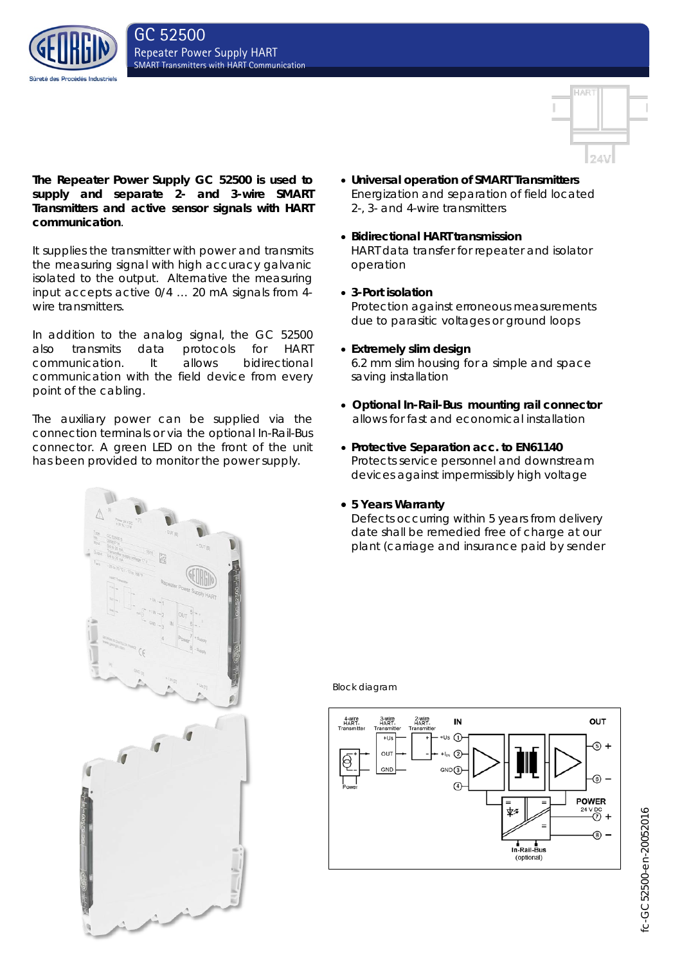



**The Repeater Power Supply GC 52500 is used to supply and separate 2- and 3-wire SMART Transmitters and active sensor signals with HART communication**.

It supplies the transmitter with power and transmits the measuring signal with high accuracy galvanic isolated to the output. Alternative the measuring input accepts active 0/4 … 20 mA signals from 4 wire transmitters.

In addition to the analog signal, the GC 52500 also transmits data protocols for HART communication. It allows bidirectional communication with the field device from every point of the cabling.

The auxiliary power can be supplied via the connection terminals or via the optional In-Rail-Bus connector. A green LED on the front of the unit has been provided to monitor the power supply.

- **Universal operation of SMART Transmitters** Energization and separation of field located 2-, 3- and 4-wire transmitters
- **Bidirectional HART transmission** HART data transfer for repeater and isolator operation
- **3-Port isolation** Protection against erroneous measurements due to parasitic voltages or ground loops
- **Extremely slim design**

6.2 mm slim housing for a simple and space saving installation

- **Optional In-Rail-Bus mounting rail connector** allows for fast and economical installation
- **Protective Separation acc. to EN61140** Protects service personnel and downstream devices against impermissibly high voltage

# • **5 Years Warranty**

Defects occurring within 5 years from delivery date shall be remedied free of charge at our plant (carriage and insurance paid by sender



Block diagram



fc-GC52500-en-20052016 fc-GC52500-en-20052016